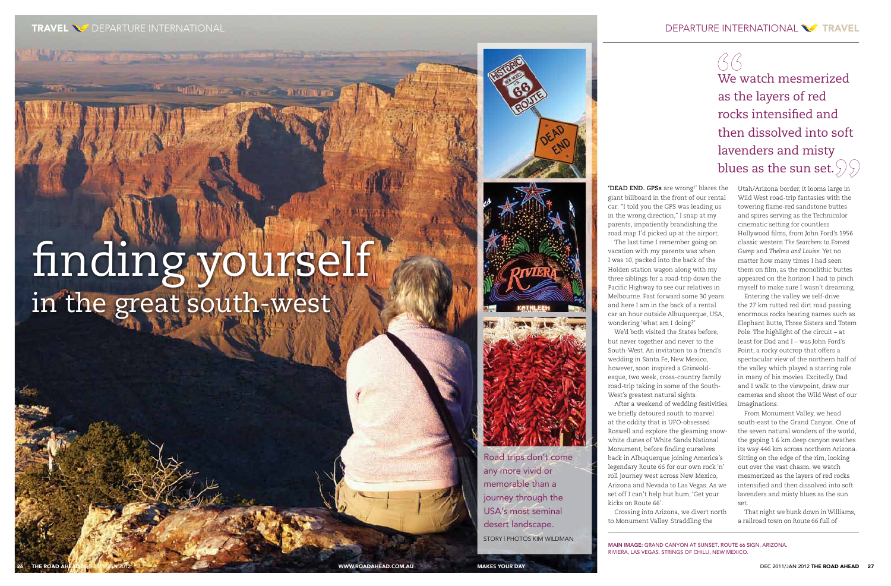**'DEAD END. GPSs** are wrong!' blares the giant billboard in the front of our rental car. "I told you the GPS was leading us in the wrong direction," I snap at my parents, impatiently brandishing the road map I'd picked up at the airport.

The last time I remember going on

vacation with my parents was when I was 10, packed into the back of the Holden station wagon along with my three siblings for a road-trip down the Pacific Highway to see our relatives in Melbourne. Fast forward some 30 years and here I am in the back of a rental car an hour outside Albuquerque, USA, wondering 'what am I doing?'

We'd both visited the States before, but never together and never to the South-West. An invitation to a friend's wedding in Santa Fe, New Mexico, however, soon inspired a Griswoldesque, two week, cross-country family road-trip taking in some of the South-West's greatest natural sights. After a weekend of wedding festivities,

we briefly detoured south to marvel at the oddity that is UFO-obsessed Roswell and explore the gleaming snowwhite dunes of White Sands National Monument, before finding ourselves back in Albuquerque joining America's legendary Route 66 for our own rock 'n' roll journey west across New Mexico, Arizona and Nevada to Las Vegas. As we set off I can't help but hum, 'Get your kicks on Route 66'.

Crossing into Arizona, we divert north to Monument Valley. Straddling the

Utah/Arizona border, it looms large in Wild West road-trip fantasies with the towering flame-red sandstone buttes and spires serving as the Technicolor cinematic setting for countless Hollywood films, from John Ford's 1956 classic western *The Searchers* to F*orrest Gump* and *Thelma and Louise*. Yet no matter how many times I had seen them on film, as the monolithic buttes appeared on the horizon I had to pinch myself to make sure I wasn't dreaming.

Entering the valley we self-drive the 27 km rutted red dirt road passing enormous rocks bearing names such as Elephant Butte, Three Sisters and Totem Pole. The highlight of the circuit – at least for Dad and I – was John Ford's Point, a rocky outcrop that offers a spectacular view of the northern half of the valley which played a starring role in many of his movies. Excitedly, Dad and I walk to the viewpoint, draw our cameras and shoot the Wild West of our imaginations.

From Monument Valley, we head south-east to the Grand Canyon. One of the seven natural wonders of the world, the gaping 1.6 km deep canyon swathes its way 446 km across northern Arizona. Sitting on the edge of the rim, looking out over the vast chasm, we watch mesmerized as the layers of red rocks intensified and then dissolved into soft lavenders and misty blues as the sun set.

That night we bunk down in Williams, a railroad town on Route 66 full of

# finding yourself in the great south-west

Antillaciones and a service







Road trips don't come any more vivid or memorable than a journey through the USA's most seminal desert landscape. STORY | PHOTOS KIM WILDMAN

MAIN IMAGE: Grand Canyon at sunset. Route 66 sign, Arizona. Riviera, Las Vegas. Strings of chilli, New Mexico.

 $GG$ We watch mesmerized as the layers of red rocks intensified and then dissolved into soft lavenders and misty blues as the sun set.  $99$